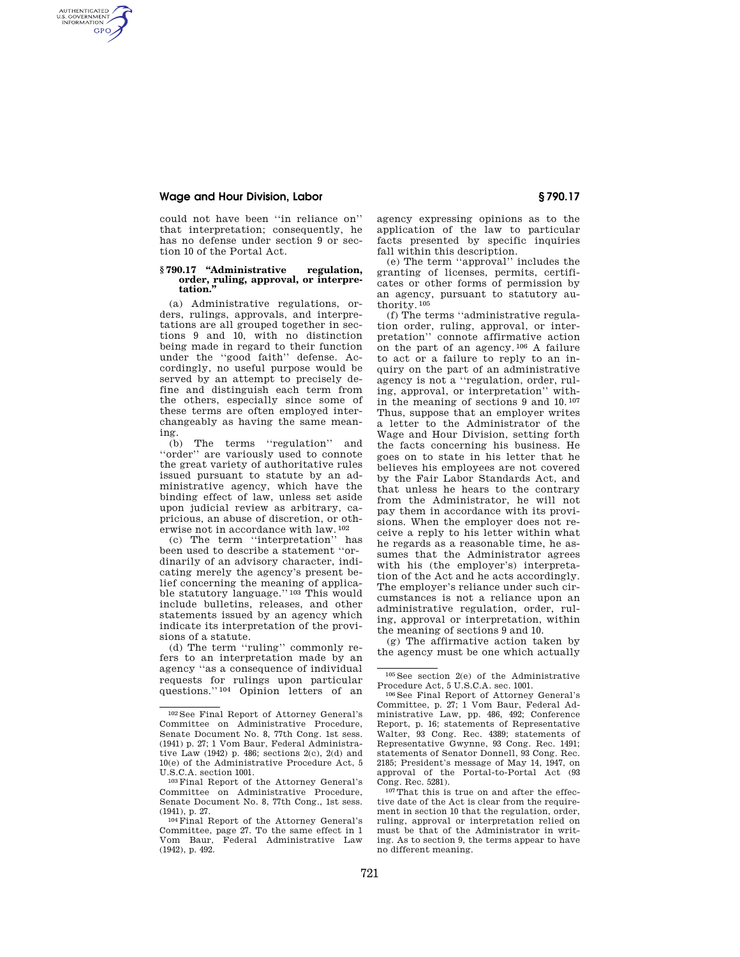## **Wage and Hour Division, Labor § 790.17**

AUTHENTICATED<br>U.S. GOVERNMENT<br>INFORMATION **GPO** 

> could not have been ''in reliance on'' that interpretation; consequently, he has no defense under section 9 or section 10 of the Portal Act.

## **§ 790.17 ''Administrative regulation, order, ruling, approval, or interpretation.''**

(a) Administrative regulations, orders, rulings, approvals, and interpretations are all grouped together in sections 9 and 10, with no distinction being made in regard to their function under the ''good faith'' defense. Accordingly, no useful purpose would be served by an attempt to precisely define and distinguish each term from the others, especially since some of these terms are often employed interchangeably as having the same mean- $\frac{\text{ing.}}{\text{h}}$ 

The terms "regulation" and ''order'' are variously used to connote the great variety of authoritative rules issued pursuant to statute by an administrative agency, which have the binding effect of law, unless set aside upon judicial review as arbitrary, capricious, an abuse of discretion, or otherwise not in accordance with law. 102

(c) The term ''interpretation'' has been used to describe a statement ''ordinarily of an advisory character, indicating merely the agency's present belief concerning the meaning of applicable statutory language."<sup>103</sup> This would include bulletins, releases, and other statements issued by an agency which indicate its interpretation of the provisions of a statute.

(d) The term ''ruling'' commonly refers to an interpretation made by an agency ''as a consequence of individual requests for rulings upon particular questions.'' 104 Opinion letters of an

agency expressing opinions as to the application of the law to particular facts presented by specific inquiries fall within this description.

(e) The term ''approval'' includes the granting of licenses, permits, certificates or other forms of permission by an agency, pursuant to statutory authority. 105

(f) The terms ''administrative regulation order, ruling, approval, or interpretation'' connote affirmative action on the part of an agency. 106 A failure to act or a failure to reply to an inquiry on the part of an administrative agency is not a ''regulation, order, ruling, approval, or interpretation'' within the meaning of sections 9 and 10. 107 Thus, suppose that an employer writes a letter to the Administrator of the Wage and Hour Division, setting forth the facts concerning his business. He goes on to state in his letter that he believes his employees are not covered by the Fair Labor Standards Act, and that unless he hears to the contrary from the Administrator, he will not pay them in accordance with its provisions. When the employer does not receive a reply to his letter within what he regards as a reasonable time, he assumes that the Administrator agrees with his (the employer's) interpretation of the Act and he acts accordingly. The employer's reliance under such circumstances is not a reliance upon an administrative regulation, order, ruling, approval or interpretation, within the meaning of sections 9 and 10.

(g) The affirmative action taken by the agency must be one which actually

<sup>102</sup> See Final Report of Attorney General's Committee on Administrative Procedure, Senate Document No. 8, 77th Cong. 1st sess. (1941) p. 27; 1 Vom Baur, Federal Administrative Law (1942) p. 486; sections 2(c), 2(d) and 10(e) of the Administrative Procedure Act, 5 U.S.C.A. section 1001. 103Final Report of the Attorney General's

Committee on Administrative Procedure, Senate Document No. 8, 77th Cong., 1st sess.  $(1941)$ , p. 27.<br> $104$  Final Report of the Attorney General's

Committee, page 27. To the same effect in 1 Vom Baur, Federal Administrative Law (1942), p. 492.

 $^{105}\mathrm{See}$  section 2(e) of the Administrative Procedure Act, 5 U.S.C.A. sec. 1001.

<sup>&</sup>lt;sup>106</sup> See Final Report of Attorney General's Committee, p. 27; 1 Vom Baur, Federal Administrative Law, pp. 486, 492; Conference Report, p. 16; statements of Representative Walter, 93 Cong. Rec. 4389; statements of Representative Gwynne, 93 Cong. Rec. 1491; statements of Senator Donnell, 93 Cong. Rec. 2185; President's message of May 14, 1947, on approval of the Portal-to-Portal Act (93

 $107$ That this is true on and after the effective date of the Act is clear from the requirement in section 10 that the regulation, order, ruling, approval or interpretation relied on must be that of the Administrator in writing. As to section 9, the terms appear to have no different meaning.